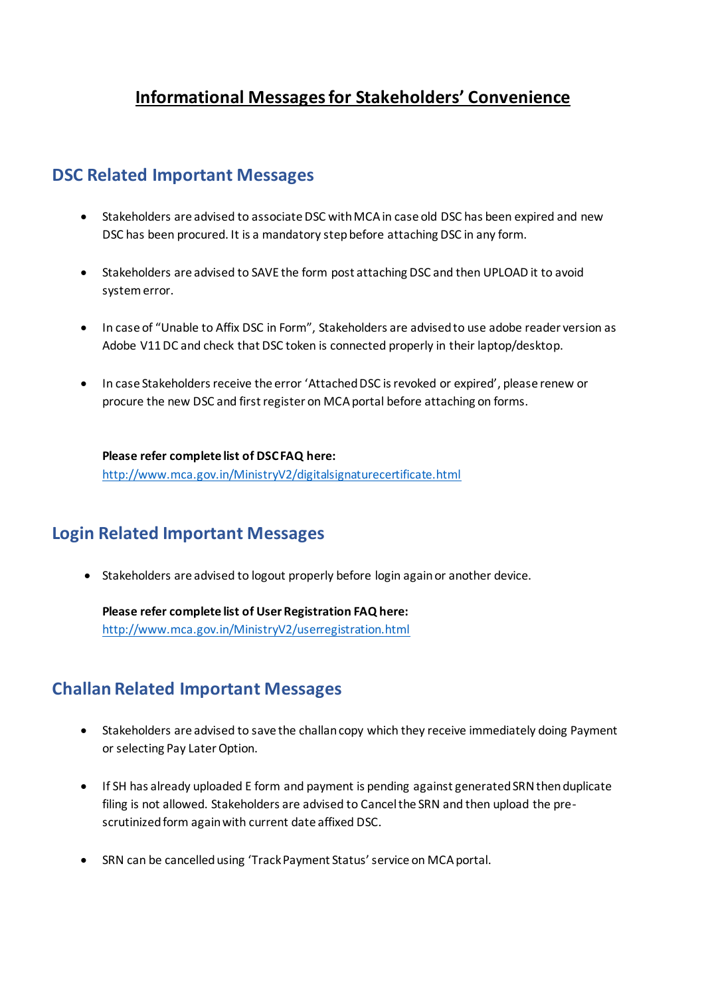# **Informational Messages for Stakeholders' Convenience**

## **DSC Related Important Messages**

- Stakeholders are advised to associate DSC with MCA in case old DSC has been expired and new DSC has been procured. It is a mandatory step before attaching DSC in any form.
- Stakeholders are advised to SAVE the form post attaching DSC and then UPLOAD it to avoid system error.
- In case of "Unable to Affix DSC in Form", Stakeholders are advised to use adobe reader version as Adobe V11 DC and check that DSC token is connected properly in their laptop/desktop.
- In case Stakeholders receive the error 'Attached DSC is revoked or expired', please renew or procure the new DSC and first register on MCA portal before attaching on forms.

**Please refer complete list of DSC FAQ here:** <http://www.mca.gov.in/MinistryV2/digitalsignaturecertificate.html>

# **Login Related Important Messages**

• Stakeholders are advised to logout properly before login again or another device.

**Please refer complete list of User Registration FAQ here:**

<http://www.mca.gov.in/MinistryV2/userregistration.html>

# **Challan Related Important Messages**

- Stakeholders are advised to save the challan copy which they receive immediately doing Payment or selecting Pay Later Option.
- If SH has already uploaded E form and payment is pending against generated SRN then duplicate filing is not allowed. Stakeholders are advised to Cancel the SRN and then upload the prescrutinized form again with current date affixed DSC.
- SRN can be cancelled using 'Track Payment Status' service on MCA portal.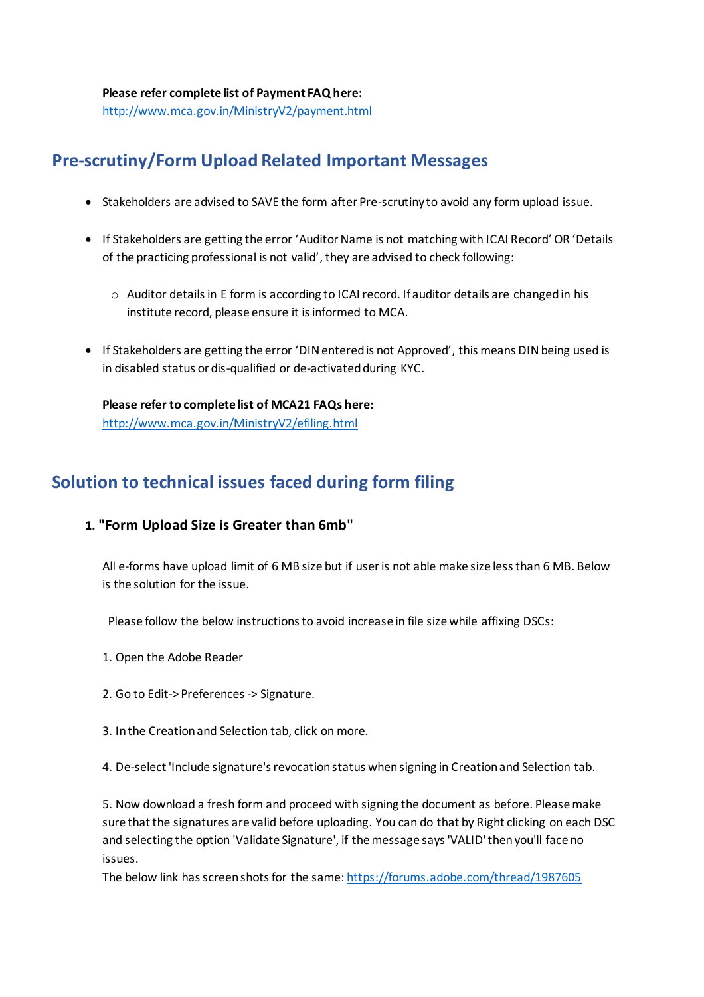**Please refer complete list of Payment FAQ here:** <http://www.mca.gov.in/MinistryV2/payment.html>

# **Pre-scrutiny/Form Upload Related Important Messages**

- Stakeholders are advised to SAVE the form after Pre-scrutiny to avoid any form upload issue.
- If Stakeholders are getting the error 'Auditor Name is not matching with ICAI Record' OR 'Details of the practicing professional is not valid', they are advised to check following:
	- o Auditor details in E form is according to ICAI record. If auditor details are changed in his institute record, please ensure it is informed to MCA.
- If Stakeholders are getting the error 'DIN entered is not Approved', this means DIN being used is in disabled status or dis-qualified or de-activated during KYC.

**Please refer to complete list of MCA21 FAQs here:** <http://www.mca.gov.in/MinistryV2/efiling.html>

# **Solution to technical issues faced during form filing**

## **1. "Form Upload Size is Greater than 6mb"**

All e-forms have upload limit of 6 MB size but if user is not able make size less than 6 MB. Below is the solution for the issue.

Please follow the below instructions to avoid increase in file size while affixing DSCs:

- 1. Open the Adobe Reader
- 2. Go to Edit-> Preferences -> Signature.
- 3. In the Creation and Selection tab, click on more.

4. De-select 'Include signature's revocation status when signing in Creation and Selection tab.

5. Now download a fresh form and proceed with signing the document as before. Please make sure that the signatures are valid before uploading. You can do that by Right clicking on each DSC and selecting the option 'Validate Signature', if the message says 'VALID' then you'll face no issues.

The below link has screen shots for the same[: https://forums.adobe.com/thread/1987605](https://forums.adobe.com/thread/1987605)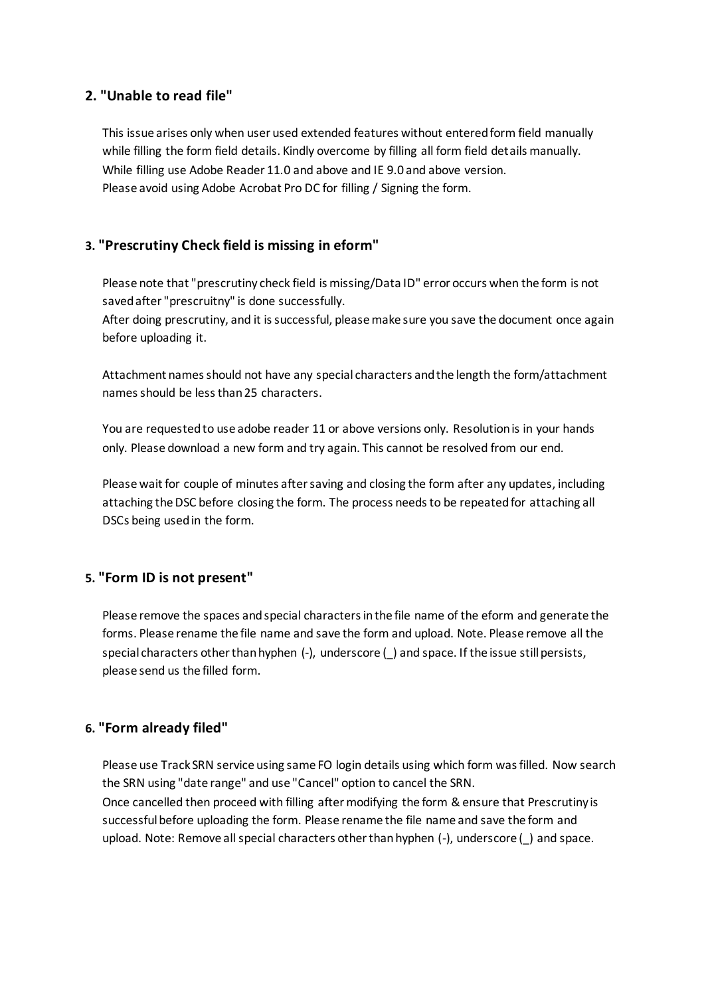#### **2. "Unable to read file"**

This issue arises only when user used extended features without entered form field manually while filling the form field details. Kindly overcome by filling all form field details manually. While filling use Adobe Reader 11.0 and above and IE 9.0 and above version. Please avoid using Adobe Acrobat Pro DC for filling / Signing the form.

### **3. "Prescrutiny Check field is missing in eform"**

Please note that "prescrutiny check field is missing/Data ID" error occurs when the form is not saved after "prescruitny" is done successfully.

After doing prescrutiny, and it is successful, please make sure you save the document once again before uploading it.

Attachment names should not have any special characters and the length the form/attachment names should be less than 25 characters.

You are requested to use adobe reader 11 or above versions only. Resolution is in your hands only. Please download a new form and try again. This cannot be resolved from our end.

Please wait for couple of minutes after saving and closing the form after any updates, including attaching the DSC before closing the form. The process needs to be repeated for attaching all DSCs being used in the form.

#### **5. "Form ID is not present"**

Please remove the spaces and special characters in the file name of the eform and generate the forms. Please rename the file name and save the form and upload. Note. Please remove all the special characters other than hyphen (-), underscore () and space. If the issue still persists, please send us the filled form.

#### **6. "Form already filed"**

Please use Track SRN service using same FO login details using which form was filled. Now search the SRN using "date range" and use "Cancel" option to cancel the SRN. Once cancelled then proceed with filling after modifying the form & ensure that Prescrutiny is successful before uploading the form. Please rename the file name and save the form and upload. Note: Remove all special characters other than hyphen (-), underscore () and space.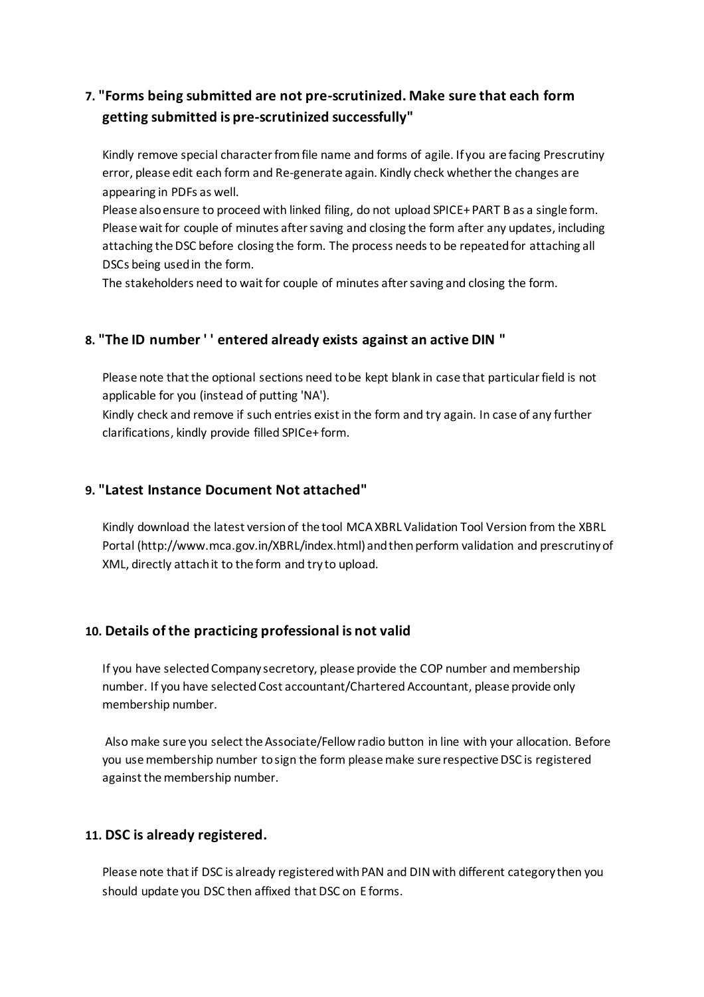## **7. "Forms being submitted are not pre-scrutinized. Make sure that each form getting submitted is pre-scrutinized successfully"**

Kindly remove special character from file name and forms of agile. If you are facing Prescrutiny error, please edit each form and Re-generate again. Kindly check whether the changes are appearing in PDFs as well.

Please also ensure to proceed with linked filing, do not upload SPICE+ PART B as a single form. Please wait for couple of minutes after saving and closing the form after any updates, including attaching the DSC before closing the form. The process needs to be repeated for attaching all DSCs being used in the form.

The stakeholders need to wait for couple of minutes after saving and closing the form.

### **8. "The ID number ' ' entered already exists against an active DIN "**

Please note that the optional sections need to be kept blank in case that particular field is not applicable for you (instead of putting 'NA').

Kindly check and remove if such entries exist in the form and try again. In case of any further clarifications, kindly provide filled SPICe+ form.

#### **9. "Latest Instance Document Not attached"**

Kindly download the latest version of the tool MCA XBRL Validation Tool Version from the XBRL Portal (http://www.mca.gov.in/XBRL/index.html) and then perform validation and prescrutiny of XML, directly attach it to the form and try to upload.

### **10. Details of the practicing professional is not valid**

If you have selected Company secretory, please provide the COP number and membership number. If you have selected Cost accountant/Chartered Accountant, please provide only membership number.

Also make sure you select the Associate/Fellow radio button in line with your allocation. Before you use membership number to sign the form please make sure respective DSC is registered against the membership number.

### **11. DSC is already registered.**

Please note that if DSC is already registered with PAN and DIN with different category then you should update you DSC then affixed that DSC on E forms.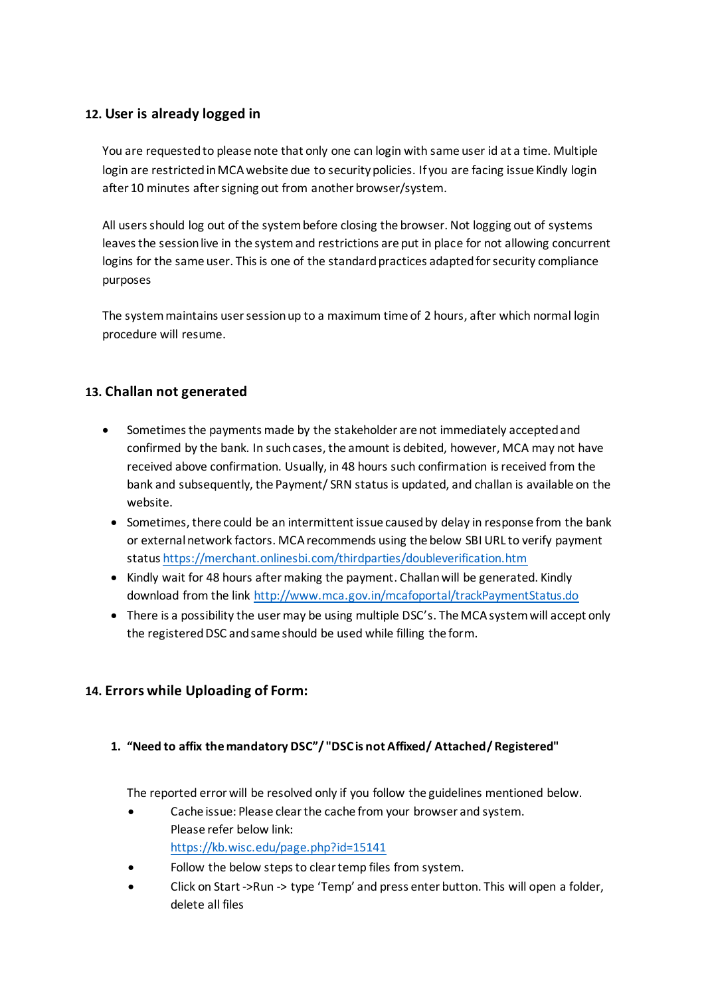### **12. User is already logged in**

You are requested to please note that only one can login with same user id at a time. Multiple login are restricted in MCA website due to security policies. If you are facing issue Kindly login after 10 minutes after signing out from another browser/system.

All users should log out of the system before closing the browser. Not logging out of systems leaves the session live in the system and restrictions are put in place for not allowing concurrent logins for the same user. This is one of the standard practices adapted for security compliance purposes

The system maintains user session up to a maximum time of 2 hours, after which normal login procedure will resume.

## **13. Challan not generated**

- Sometimes the payments made by the stakeholder are not immediately accepted and confirmed by the bank. In such cases, the amount is debited, however, MCA may not have received above confirmation. Usually, in 48 hours such confirmation is received from the bank and subsequently, the Payment/ SRN status is updated, and challan is available on the website.
- Sometimes, there could be an intermittent issue caused by delay in response from the bank or external network factors. MCA recommends using the below SBI URL to verify payment statu[s https://merchant.onlinesbi.com/thirdparties/doubleverification.htm](https://merchant.onlinesbi.com/thirdparties/doubleverification.htm)
- Kindly wait for 48 hours after making the payment. Challan will be generated. Kindly download from the link<http://www.mca.gov.in/mcafoportal/trackPaymentStatus.do>
- There is a possibility the user may be using multiple DSC's. The MCA system will accept only the registered DSC and same should be used while filling the form.

## **14. Errors while Uploading of Form:**

#### **1. "Need to affix the mandatory DSC"/ "DSC is not Affixed/ Attached/ Registered"**

The reported error will be resolved only if you follow the guidelines mentioned below.

- Cache issue: Please clear the cache from your browser and system. Please refer below link: <https://kb.wisc.edu/page.php?id=15141>
- Follow the below steps to clear temp files from system.
- Click on Start ->Run -> type 'Temp' and press enter button. This will open a folder, delete all files